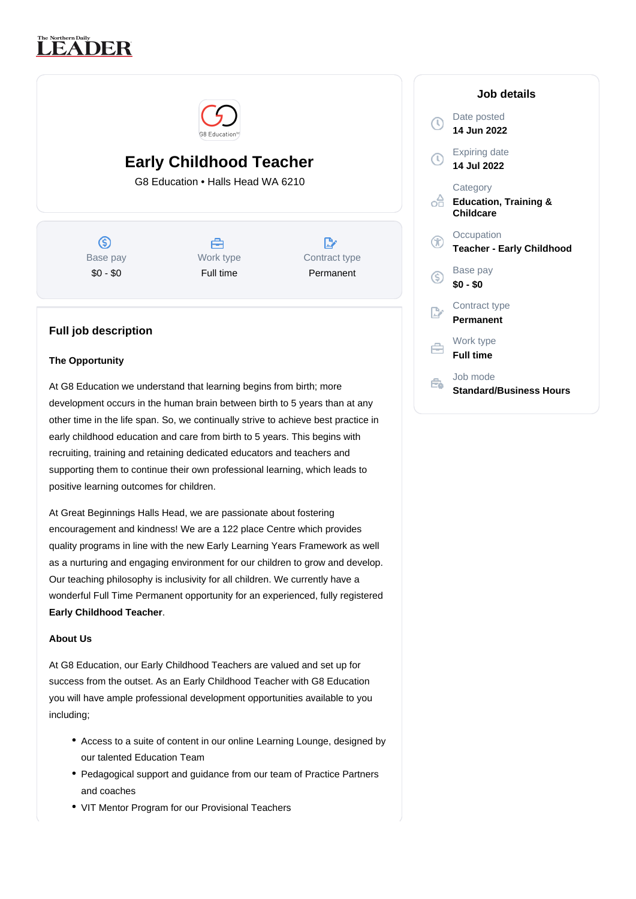# **LEADER**



# **Early Childhood Teacher**

G8 Education • Halls Head WA 6210

 $\circledS$ Base pay \$0 - \$0

## Å Work type Full time

 $\mathbb{R}^{\circ}$ Contract type Permanent

### **Full job description**

#### **The Opportunity**

At G8 Education we understand that learning begins from birth; more development occurs in the human brain between birth to 5 years than at any other time in the life span. So, we continually strive to achieve best practice in early childhood education and care from birth to 5 years. This begins with recruiting, training and retaining dedicated educators and teachers and supporting them to continue their own professional learning, which leads to positive learning outcomes for children.

At Great Beginnings Halls Head, we are passionate about fostering encouragement and kindness! We are a 122 place Centre which provides quality programs in line with the new Early Learning Years Framework as well as a nurturing and engaging environment for our children to grow and develop. Our teaching philosophy is inclusivity for all children. We currently have a wonderful Full Time Permanent opportunity for an experienced, fully registered **Early Childhood Teacher**.

#### **About Us**

At G8 Education, our Early Childhood Teachers are valued and set up for success from the outset. As an Early Childhood Teacher with G8 Education you will have ample professional development opportunities available to you including;

- Access to a suite of content in our online Learning Lounge, designed by our talented Education Team
- Pedagogical support and guidance from our team of Practice Partners and coaches
- VIT Mentor Program for our Provisional Teachers

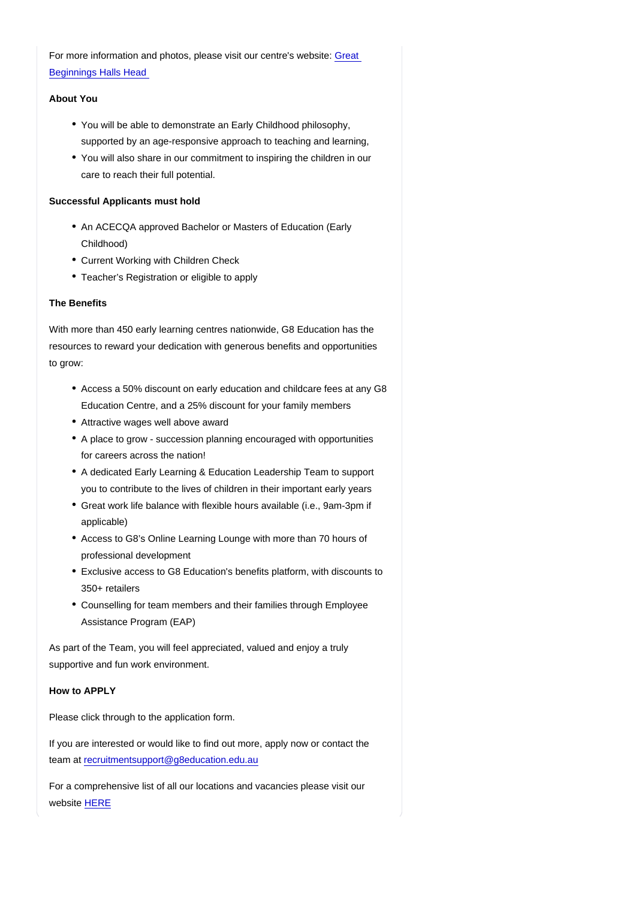For more information and photos, please visit our centre's website: [Great](https://www.greatbeginnings.com.au/find-childcare-near-you/childcare-halls-head?utm_source=google&utm_medium=organic&utm_campaign=gmb)  [Beginnings Halls Head](https://www.greatbeginnings.com.au/find-childcare-near-you/childcare-halls-head?utm_source=google&utm_medium=organic&utm_campaign=gmb) 

#### About You

- You will be able to demonstrate an Early Childhood philosophy, supported by an age-responsive approach to teaching and learning,
- You will also share in our commitment to inspiring the children in our care to reach their full potential.

Successful Applicants must hold

- An ACECQA approved Bachelor or Masters of Education (Early Childhood)
- Current Working with Children Check
- Teacher's Registration or eligible to apply

#### The Benefits

With more than 450 early learning centres nationwide, G8 Education has the resources to reward your dedication with generous benefits and opportunities to grow:

- Access a 50% discount on early education and childcare fees at any G8 Education Centre, and a 25% discount for your family members
- Attractive wages well above award
- A place to grow succession planning encouraged with opportunities for careers across the nation!
- A dedicated Early Learning & Education Leadership Team to support you to contribute to the lives of children in their important early years
- Great work life balance with flexible hours available (i.e., 9am-3pm if applicable)
- Access to G8's Online Learning Lounge with more than 70 hours of professional development
- Exclusive access to G8 Education's benefits platform, with discounts to 350+ retailers
- Counselling for team members and their families through Employee Assistance Program (EAP)

As part of the Team, you will feel appreciated, valued and enjoy a truly supportive and fun work environment.

How to APPLY

Please click through to the application form.

If you are interested or would like to find out more, apply now or contact the team at [recruitmentsupport@g8education.edu.au](mailto:recruitmentsupport@g8education.edu.au)

For a comprehensive list of all our locations and vacancies please visit our website [HERE](https://jobs.g8education.edu.au/en/listing/)